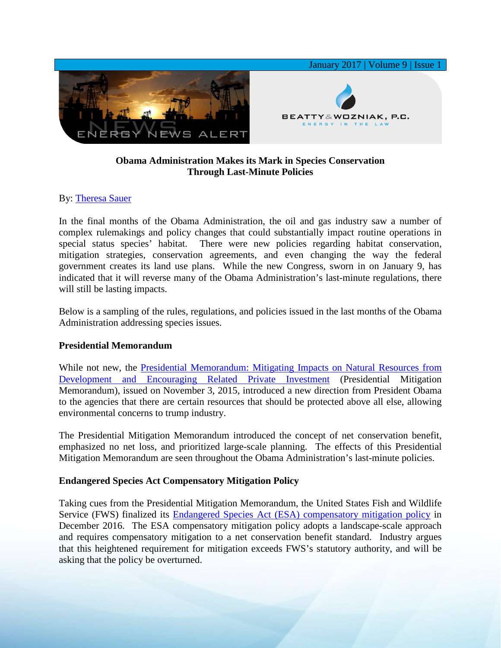

# **Obama Administration Makes its Mark in Species Conservation Through Last-Minute Policies**

## By: [Theresa Sauer](http://www.bwenergylaw.com/theresa-sauer)

In the final months of the Obama Administration, the oil and gas industry saw a number of complex rulemakings and policy changes that could substantially impact routine operations in special status species' habitat. There were new policies regarding habitat conservation, mitigation strategies, conservation agreements, and even changing the way the federal government creates its land use plans. While the new Congress, sworn in on January 9, has indicated that it will reverse many of the Obama Administration's last-minute regulations, there will still be lasting impacts.

Below is a sampling of the rules, regulations, and policies issued in the last months of the Obama Administration addressing species issues.

## **Presidential Memorandum**

While not new, the Presidential Memorandum: Mitigating Impacts on Natural Resources from [Development and Encouraging Related Private Investment](https://www.federalregister.gov/documents/2015/11/06/2015-28466/mitigating-impacts-on-natural-resources-from-development-and-encouraging-related-private-investment) (Presidential Mitigation Memorandum), issued on November 3, 2015, introduced a new direction from President Obama to the agencies that there are certain resources that should be protected above all else, allowing environmental concerns to trump industry.

The Presidential Mitigation Memorandum introduced the concept of net conservation benefit, emphasized no net loss, and prioritized large-scale planning. The effects of this Presidential Mitigation Memorandum are seen throughout the Obama Administration's last-minute policies.

## **Endangered Species Act Compensatory Mitigation Policy**

Taking cues from the Presidential Mitigation Memorandum, the United States Fish and Wildlife Service (FWS) finalized its [Endangered Species Act \(ESA\) compensatory mitigation policy](https://www.federalregister.gov/documents/2016/12/27/2016-30929/endangered-and-threatened-wildlife-and-plants-endangered-species-act-compensatory-mitigation-policy) in December 2016. The ESA compensatory mitigation policy adopts a landscape-scale approach and requires compensatory mitigation to a net conservation benefit standard. Industry argues that this heightened requirement for mitigation exceeds FWS's statutory authority, and will be asking that the policy be overturned.